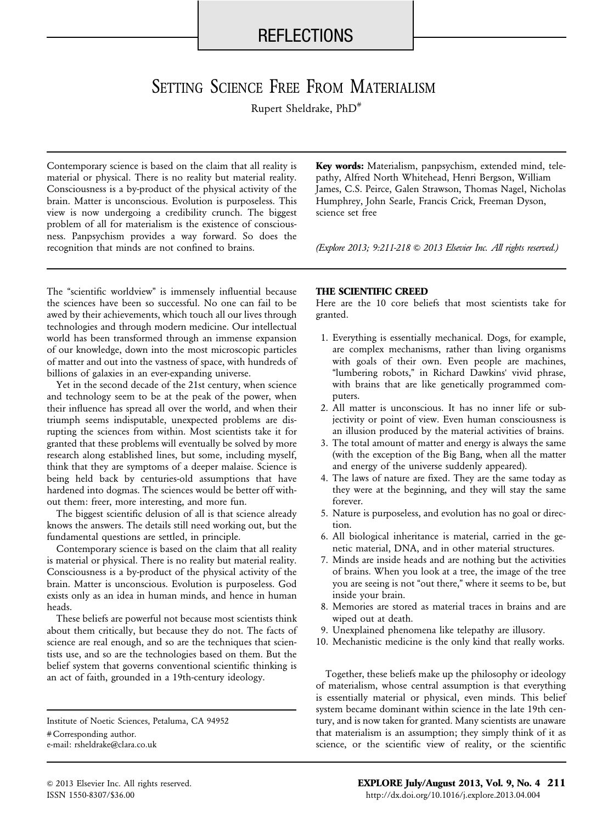# SETTING SCIENCE FREE FROM MATERIALISM

Rupert Sheldrake, PhD<sup>#</sup>

Contemporary science is based on the claim that all reality is material or physical. There is no reality but material reality. Consciousness is a by-product of the physical activity of the brain. Matter is unconscious. Evolution is purposeless. This view is now undergoing a credibility crunch. The biggest problem of all for materialism is the existence of consciousness. Panpsychism provides a way forward. So does the recognition that minds are not confined to brains.

Key words: Materialism, panpsychism, extended mind, telepathy, Alfred North Whitehead, Henri Bergson, William James, C.S. Peirce, Galen Strawson, Thomas Nagel, Nicholas Humphrey, John Searle, Francis Crick, Freeman Dyson, science set free

(Explore 2013; 9:211-218 & 2013 Elsevier Inc. All rights reserved.)

The "scientific worldview" is immensely influential because the sciences have been so successful. No one can fail to be awed by their achievements, which touch all our lives through technologies and through modern medicine. Our intellectual world has been transformed through an immense expansion of our knowledge, down into the most microscopic particles of matter and out into the vastness of space, with hundreds of billions of galaxies in an ever-expanding universe.

Yet in the second decade of the 21st century, when science and technology seem to be at the peak of the power, when their influence has spread all over the world, and when their triumph seems indisputable, unexpected problems are disrupting the sciences from within. Most scientists take it for granted that these problems will eventually be solved by more research along established lines, but some, including myself, think that they are symptoms of a deeper malaise. Science is being held back by centuries-old assumptions that have hardened into dogmas. The sciences would be better off without them: freer, more interesting, and more fun.

The biggest scientific delusion of all is that science already knows the answers. The details still need working out, but the fundamental questions are settled, in principle.

Contemporary science is based on the claim that all reality is material or physical. There is no reality but material reality. Consciousness is a by-product of the physical activity of the brain. Matter is unconscious. Evolution is purposeless. God exists only as an idea in human minds, and hence in human heads.

These beliefs are powerful not because most scientists think about them critically, but because they do not. The facts of science are real enough, and so are the techniques that scientists use, and so are the technologies based on them. But the belief system that governs conventional scientific thinking is an act of faith, grounded in a 19th-century ideology.

Institute of Noetic Sciences, Petaluma, CA 94952 # Corresponding author.

## THE SCIENTIFIC CREED

Here are the 10 core beliefs that most scientists take for granted.

- 1. Everything is essentially mechanical. Dogs, for example, are complex mechanisms, rather than living organisms with goals of their own. Even people are machines, "lumbering robots," in Richard Dawkins' vivid phrase, with brains that are like genetically programmed computers.
- 2. All matter is unconscious. It has no inner life or subjectivity or point of view. Even human consciousness is an illusion produced by the material activities of brains.
- 3. The total amount of matter and energy is always the same (with the exception of the Big Bang, when all the matter and energy of the universe suddenly appeared).
- 4. The laws of nature are fixed. They are the same today as they were at the beginning, and they will stay the same forever.
- 5. Nature is purposeless, and evolution has no goal or direction.
- 6. All biological inheritance is material, carried in the genetic material, DNA, and in other material structures.
- 7. Minds are inside heads and are nothing but the activities of brains. When you look at a tree, the image of the tree you are seeing is not "out there," where it seems to be, but inside your brain.
- 8. Memories are stored as material traces in brains and are wiped out at death.
- 9. Unexplained phenomena like telepathy are illusory.
- 10. Mechanistic medicine is the only kind that really works.

Together, these beliefs make up the philosophy or ideology of materialism, whose central assumption is that everything is essentially material or physical, even minds. This belief system became dominant within science in the late 19th century, and is now taken for granted. Many scientists are unaware that materialism is an assumption; they simply think of it as e-mail: [rsheldrake@clara.co.uk](mailto:rsheldrake@clara.co.uk) science, or the scientific view of reality, or the scientific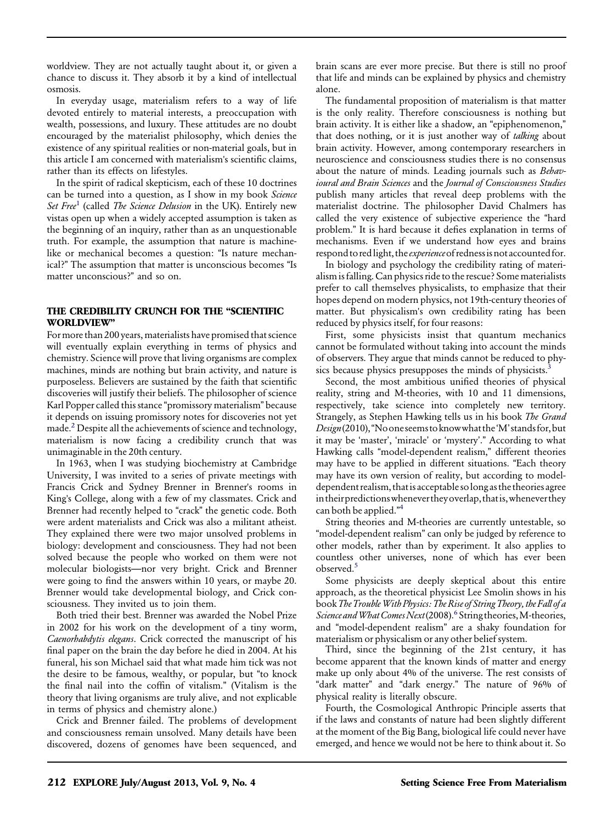worldview. They are not actually taught about it, or given a chance to discuss it. They absorb it by a kind of intellectual osmosis.

In everyday usage, materialism refers to a way of life devoted entirely to material interests, a preoccupation with wealth, possessions, and luxury. These attitudes are no doubt encouraged by the materialist philosophy, which denies the existence of any spiritual realities or non-material goals, but in this article I am concerned with materialism's scientific claims, rather than its effects on lifestyles.

In the spirit of radical skepticism, each of these 10 doctrines can be turned into a question, as I show in my book Science Set Free<sup>[1](#page-7-0)</sup> (called The Science Delusion in the UK). Entirely new vistas open up when a widely accepted assumption is taken as the beginning of an inquiry, rather than as an unquestionable truth. For example, the assumption that nature is machinelike or mechanical becomes a question: "Is nature mechanical?" The assumption that matter is unconscious becomes "Is matter unconscious?" and so on.

## THE CREDIBILITY CRUNCH FOR THE "SCIENTIFIC WORLDVIEW"

For more than 200 years, materialists have promised that science will eventually explain everything in terms of physics and chemistry. Science will prove that living organisms are complex machines, minds are nothing but brain activity, and nature is purposeless. Believers are sustained by the faith that scientific discoveries will justify their beliefs. The philosopher of science Karl Popper called this stance "promissory materialism" because it depends on issuing promissory notes for discoveries not yet made. $^{2}$  Despite all the achievements of science and technology, materialism is now facing a credibility crunch that was unimaginable in the 20th century.

In 1963, when I was studying biochemistry at Cambridge University, I was invited to a series of private meetings with Francis Crick and Sydney Brenner in Brenner's rooms in King's College, along with a few of my classmates. Crick and Brenner had recently helped to "crack" the genetic code. Both were ardent materialists and Crick was also a militant atheist. They explained there were two major unsolved problems in biology: development and consciousness. They had not been solved because the people who worked on them were not molecular biologists—nor very bright. Crick and Brenner were going to find the answers within 10 years, or maybe 20. Brenner would take developmental biology, and Crick consciousness. They invited us to join them.

Both tried their best. Brenner was awarded the Nobel Prize in 2002 for his work on the development of a tiny worm, Caenorhabdytis elegans. Crick corrected the manuscript of his final paper on the brain the day before he died in 2004. At his funeral, his son Michael said that what made him tick was not the desire to be famous, wealthy, or popular, but "to knock the final nail into the coffin of vitalism." (Vitalism is the theory that living organisms are truly alive, and not explicable in terms of physics and chemistry alone.)

Crick and Brenner failed. The problems of development and consciousness remain unsolved. Many details have been discovered, dozens of genomes have been sequenced, and

brain scans are ever more precise. But there is still no proof that life and minds can be explained by physics and chemistry alone.

The fundamental proposition of materialism is that matter is the only reality. Therefore consciousness is nothing but brain activity. It is either like a shadow, an "epiphenomenon," that does nothing, or it is just another way of talking about brain activity. However, among contemporary researchers in neuroscience and consciousness studies there is no consensus about the nature of minds. Leading journals such as Behavioural and Brain Sciences and the Journal of Consciousness Studies publish many articles that reveal deep problems with the materialist doctrine. The philosopher David Chalmers has called the very existence of subjective experience the "hard problem." It is hard because it defies explanation in terms of mechanisms. Even if we understand how eyes and brains respond to red light, the *experience* of redness is not accounted for.

In biology and psychology the credibility rating of materialism is falling. Can physics ride to the rescue? Some materialists prefer to call themselves physicalists, to emphasize that their hopes depend on modern physics, not 19th-century theories of matter. But physicalism's own credibility rating has been reduced by physics itself, for four reasons:

First, some physicists insist that quantum mechanics cannot be formulated without taking into account the minds of observers. They argue that minds cannot be reduced to phy-sics because physics presupposes the minds of physicists.<sup>[3](#page-7-0)</sup>

Second, the most ambitious unified theories of physical reality, string and M-theories, with 10 and 11 dimensions, respectively, take science into completely new territory. Strangely, as Stephen Hawking tells us in his book The Grand Design(2010), "No one seems to know what the 'M' stands for, but it may be 'master', 'miracle' or 'mystery'." According to what Hawking calls "model-dependent realism," different theories may have to be applied in different situations. "Each theory may have its own version of reality, but according to modeldependent realism, that is acceptable so long as the theories agree in theirpredictionswhenever theyoverlap, thatis,whenever they can both be applied." [4](#page-7-0)

String theories and M-theories are currently untestable, so "model-dependent realism" can only be judged by reference to other models, rather than by experiment. It also applies to countless other universes, none of which has ever been observed[.5](#page-7-0)

Some physicists are deeply skeptical about this entire approach, as the theoretical physicist Lee Smolin shows in his book The Trouble With Physics: The Rise of String Theory, the Fall of a Science and What Comes Next (2008).<sup>[6](#page-7-0)</sup> String theories, M-theories, and "model-dependent realism" are a shaky foundation for materialism or physicalism or any other belief system.

Third, since the beginning of the 21st century, it has become apparent that the known kinds of matter and energy make up only about 4% of the universe. The rest consists of "dark matter" and "dark energy." The nature of 96% of physical reality is literally obscure.

Fourth, the Cosmological Anthropic Principle asserts that if the laws and constants of nature had been slightly different at the moment of the Big Bang, biological life could never have emerged, and hence we would not be here to think about it. So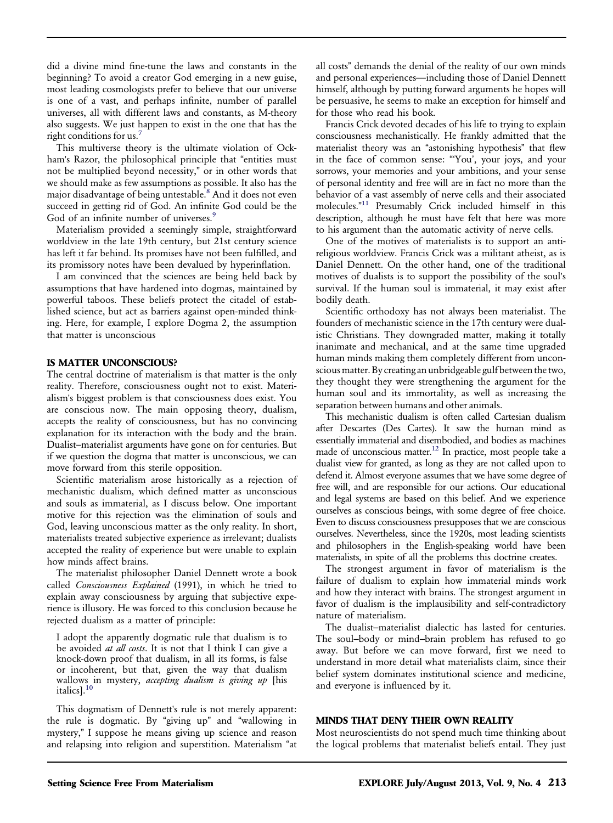did a divine mind fine-tune the laws and constants in the beginning? To avoid a creator God emerging in a new guise, most leading cosmologists prefer to believe that our universe is one of a vast, and perhaps infinite, number of parallel universes, all with different laws and constants, as M-theory also suggests. We just happen to exist in the one that has the right conditions for us.[7](#page-7-0)

This multiverse theory is the ultimate violation of Ockham's Razor, the philosophical principle that "entities must not be multiplied beyond necessity," or in other words that we should make as few assumptions as possible. It also has the major disadvantage of being untestable.<sup>[8](#page-7-0)</sup> And it does not even succeed in getting rid of God. An infinite God could be the God of an infinite number of universes.<sup>[9](#page-7-0)</sup>

Materialism provided a seemingly simple, straightforward worldview in the late 19th century, but 21st century science has left it far behind. Its promises have not been fulfilled, and its promissory notes have been devalued by hyperinflation.

I am convinced that the sciences are being held back by assumptions that have hardened into dogmas, maintained by powerful taboos. These beliefs protect the citadel of established science, but act as barriers against open-minded thinking. Here, for example, I explore Dogma 2, the assumption that matter is unconscious

## IS MATTER UNCONSCIOUS?

The central doctrine of materialism is that matter is the only reality. Therefore, consciousness ought not to exist. Materialism's biggest problem is that consciousness does exist. You are conscious now. The main opposing theory, dualism, accepts the reality of consciousness, but has no convincing explanation for its interaction with the body and the brain. Dualist–materialist arguments have gone on for centuries. But if we question the dogma that matter is unconscious, we can move forward from this sterile opposition.

Scientific materialism arose historically as a rejection of mechanistic dualism, which defined matter as unconscious and souls as immaterial, as I discuss below. One important motive for this rejection was the elimination of souls and God, leaving unconscious matter as the only reality. In short, materialists treated subjective experience as irrelevant; dualists accepted the reality of experience but were unable to explain how minds affect brains.

The materialist philosopher Daniel Dennett wrote a book called Consciousness Explained (1991), in which he tried to explain away consciousness by arguing that subjective experience is illusory. He was forced to this conclusion because he rejected dualism as a matter of principle:

I adopt the apparently dogmatic rule that dualism is to be avoided *at all costs*. It is not that I think I can give a knock-down proof that dualism, in all its forms, is false or incoherent, but that, given the way that dualism wallows in mystery, accepting dualism is giving up [his italics].[10](#page-7-0)

This dogmatism of Dennett's rule is not merely apparent: the rule is dogmatic. By "giving up" and "wallowing in mystery," I suppose he means giving up science and reason and relapsing into religion and superstition. Materialism "at all costs" demands the denial of the reality of our own minds and personal experiences—including those of Daniel Dennett himself, although by putting forward arguments he hopes will be persuasive, he seems to make an exception for himself and for those who read his book.

Francis Crick devoted decades of his life to trying to explain consciousness mechanistically. He frankly admitted that the materialist theory was an "astonishing hypothesis" that flew in the face of common sense: "'You', your joys, and your sorrows, your memories and your ambitions, and your sense of personal identity and free will are in fact no more than the behavior of a vast assembly of nerve cells and their associated molecules." [11](#page-7-0) Presumably Crick included himself in this description, although he must have felt that here was more to his argument than the automatic activity of nerve cells.

One of the motives of materialists is to support an antireligious worldview. Francis Crick was a militant atheist, as is Daniel Dennett. On the other hand, one of the traditional motives of dualists is to support the possibility of the soul's survival. If the human soul is immaterial, it may exist after bodily death.

Scientific orthodoxy has not always been materialist. The founders of mechanistic science in the 17th century were dualistic Christians. They downgraded matter, making it totally inanimate and mechanical, and at the same time upgraded human minds making them completely different from unconsciousmatter. By creating an unbridgeable gulf between the two, they thought they were strengthening the argument for the human soul and its immortality, as well as increasing the separation between humans and other animals.

This mechanistic dualism is often called Cartesian dualism after Descartes (Des Cartes). It saw the human mind as essentially immaterial and disembodied, and bodies as machines made of unconscious matter.<sup>12</sup> In practice, most people take a dualist view for granted, as long as they are not called upon to defend it. Almost everyone assumes that we have some degree of free will, and are responsible for our actions. Our educational and legal systems are based on this belief. And we experience ourselves as conscious beings, with some degree of free choice. Even to discuss consciousness presupposes that we are conscious ourselves. Nevertheless, since the 1920s, most leading scientists and philosophers in the English-speaking world have been materialists, in spite of all the problems this doctrine creates.

The strongest argument in favor of materialism is the failure of dualism to explain how immaterial minds work and how they interact with brains. The strongest argument in favor of dualism is the implausibility and self-contradictory nature of materialism.

The dualist–materialist dialectic has lasted for centuries. The soul–body or mind–brain problem has refused to go away. But before we can move forward, first we need to understand in more detail what materialists claim, since their belief system dominates institutional science and medicine, and everyone is influenced by it.

#### MINDS THAT DENY THEIR OWN REALITY

Most neuroscientists do not spend much time thinking about the logical problems that materialist beliefs entail. They just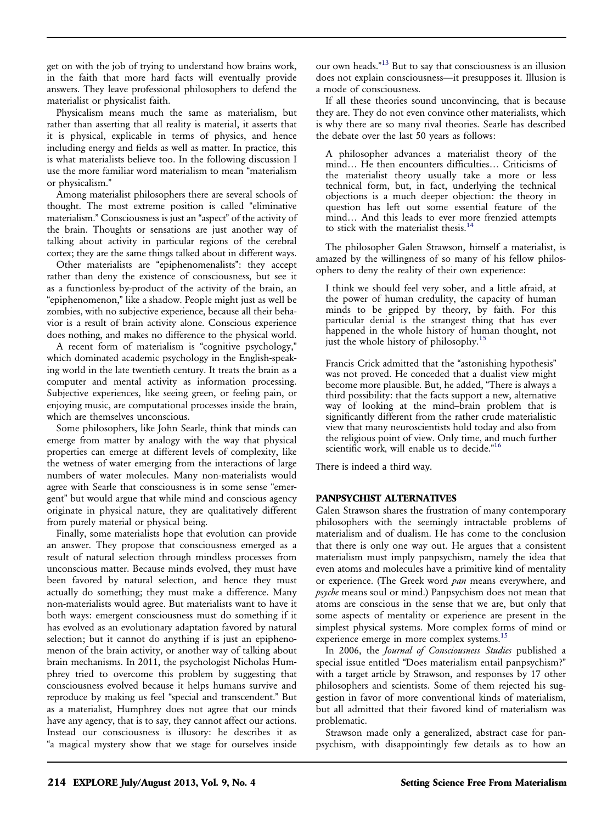get on with the job of trying to understand how brains work, in the faith that more hard facts will eventually provide answers. They leave professional philosophers to defend the materialist or physicalist faith.

Physicalism means much the same as materialism, but rather than asserting that all reality is material, it asserts that it is physical, explicable in terms of physics, and hence including energy and fields as well as matter. In practice, this is what materialists believe too. In the following discussion I use the more familiar word materialism to mean "materialism or physicalism."

Among materialist philosophers there are several schools of thought. The most extreme position is called "eliminative materialism." Consciousness is just an "aspect" of the activity of the brain. Thoughts or sensations are just another way of talking about activity in particular regions of the cerebral cortex; they are the same things talked about in different ways.

Other materialists are "epiphenomenalists": they accept rather than deny the existence of consciousness, but see it as a functionless by-product of the activity of the brain, an "epiphenomenon," like a shadow. People might just as well be zombies, with no subjective experience, because all their behavior is a result of brain activity alone. Conscious experience does nothing, and makes no difference to the physical world.

A recent form of materialism is "cognitive psychology," which dominated academic psychology in the English-speaking world in the late twentieth century. It treats the brain as a computer and mental activity as information processing. Subjective experiences, like seeing green, or feeling pain, or enjoying music, are computational processes inside the brain, which are themselves unconscious.

Some philosophers, like John Searle, think that minds can emerge from matter by analogy with the way that physical properties can emerge at different levels of complexity, like the wetness of water emerging from the interactions of large numbers of water molecules. Many non-materialists would agree with Searle that consciousness is in some sense "emergent" but would argue that while mind and conscious agency originate in physical nature, they are qualitatively different from purely material or physical being.

Finally, some materialists hope that evolution can provide an answer. They propose that consciousness emerged as a result of natural selection through mindless processes from unconscious matter. Because minds evolved, they must have been favored by natural selection, and hence they must actually do something; they must make a difference. Many non-materialists would agree. But materialists want to have it both ways: emergent consciousness must do something if it has evolved as an evolutionary adaptation favored by natural selection; but it cannot do anything if is just an epiphenomenon of the brain activity, or another way of talking about brain mechanisms. In 2011, the psychologist Nicholas Humphrey tried to overcome this problem by suggesting that consciousness evolved because it helps humans survive and reproduce by making us feel "special and transcendent." But as a materialist, Humphrey does not agree that our minds have any agency, that is to say, they cannot affect our actions. Instead our consciousness is illusory: he describes it as "a magical mystery show that we stage for ourselves inside

our own heads." [13](#page-7-0) But to say that consciousness is an illusion does not explain consciousness—it presupposes it. Illusion is a mode of consciousness.

If all these theories sound unconvincing, that is because they are. They do not even convince other materialists, which is why there are so many rival theories. Searle has described the debate over the last 50 years as follows:

A philosopher advances a materialist theory of the mind… He then encounters difficulties… Criticisms of the materialist theory usually take a more or less technical form, but, in fact, underlying the technical objections is a much deeper objection: the theory in question has left out some essential feature of the mind… And this leads to ever more frenzied attempts to stick with the materialist thesis.<sup>[14](#page-7-0)</sup>

The philosopher Galen Strawson, himself a materialist, is amazed by the willingness of so many of his fellow philosophers to deny the reality of their own experience:

I think we should feel very sober, and a little afraid, at the power of human credulity, the capacity of human minds to be gripped by theory, by faith. For this particular denial is the strangest thing that has ever happened in the whole history of human thought, not just the whole history of philosophy.<sup>[15](#page-7-0)</sup>

Francis Crick admitted that the "astonishing hypothesis" was not proved. He conceded that a dualist view might become more plausible. But, he added, "There is always a third possibility: that the facts support a new, alternative way of looking at the mind–brain problem that is significantly different from the rather crude materialistic view that many neuroscientists hold today and also from the religious point of view. Only time, and much further scientific work, will enable us to decide." [16](#page-7-0)

There is indeed a third way.

## PANPSYCHIST ALTERNATIVES

Galen Strawson shares the frustration of many contemporary philosophers with the seemingly intractable problems of materialism and of dualism. He has come to the conclusion that there is only one way out. He argues that a consistent materialism must imply panpsychism, namely the idea that even atoms and molecules have a primitive kind of mentality or experience. (The Greek word pan means everywhere, and psyche means soul or mind.) Panpsychism does not mean that atoms are conscious in the sense that we are, but only that some aspects of mentality or experience are present in the simplest physical systems. More complex forms of mind or experience emerge in more complex systems.<sup>15</sup>

In 2006, the Journal of Consciousness Studies published a special issue entitled "Does materialism entail panpsychism?" with a target article by Strawson, and responses by 17 other philosophers and scientists. Some of them rejected his suggestion in favor of more conventional kinds of materialism, but all admitted that their favored kind of materialism was problematic.

Strawson made only a generalized, abstract case for panpsychism, with disappointingly few details as to how an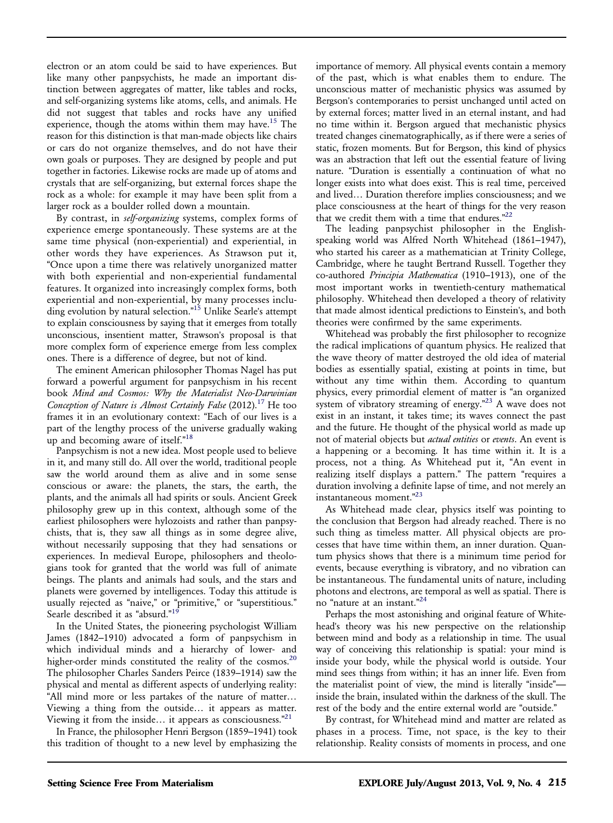electron or an atom could be said to have experiences. But like many other panpsychists, he made an important distinction between aggregates of matter, like tables and rocks, and self-organizing systems like atoms, cells, and animals. He did not suggest that tables and rocks have any unified experience, though the atoms within them may have.<sup>15</sup> The reason for this distinction is that man-made objects like chairs or cars do not organize themselves, and do not have their own goals or purposes. They are designed by people and put together in factories. Likewise rocks are made up of atoms and crystals that are self-organizing, but external forces shape the rock as a whole: for example it may have been split from a larger rock as a boulder rolled down a mountain.

By contrast, in *self-organizing* systems, complex forms of experience emerge spontaneously. These systems are at the same time physical (non-experiential) and experiential, in other words they have experiences. As Strawson put it, "Once upon a time there was relatively unorganized matter with both experiential and non-experiential fundamental features. It organized into increasingly complex forms, both experiential and non-experiential, by many processes including evolution by natural selection." [15](#page-7-0) Unlike Searle's attempt to explain consciousness by saying that it emerges from totally unconscious, insentient matter, Strawson's proposal is that more complex form of experience emerge from less complex ones. There is a difference of degree, but not of kind.

The eminent American philosopher Thomas Nagel has put forward a powerful argument for panpsychism in his recent book Mind and Cosmos: Why the Materialist Neo-Darwinian Conception of Nature is Almost Certainly False (2012).<sup>[17](#page-7-0)</sup> He too frames it in an evolutionary context: "Each of our lives is a part of the lengthy process of the universe gradually waking up and becoming aware of itself."<sup>[18](#page-7-0)</sup>

Panpsychism is not a new idea. Most people used to believe in it, and many still do. All over the world, traditional people saw the world around them as alive and in some sense conscious or aware: the planets, the stars, the earth, the plants, and the animals all had spirits or souls. Ancient Greek philosophy grew up in this context, although some of the earliest philosophers were hylozoists and rather than panpsychists, that is, they saw all things as in some degree alive, without necessarily supposing that they had sensations or experiences. In medieval Europe, philosophers and theologians took for granted that the world was full of animate beings. The plants and animals had souls, and the stars and planets were governed by intelligences. Today this attitude is usually rejected as "naive," or "primitive," or "superstitious." Searle described it as "absurd."<sup>[19](#page-7-0)</sup>

In the United States, the pioneering psychologist William James (1842–1910) advocated a form of panpsychism in which individual minds and a hierarchy of lower- and higher-order minds constituted the reality of the cosmos.<sup>[20](#page-7-0)</sup> The philosopher Charles Sanders Peirce (1839–1914) saw the physical and mental as different aspects of underlying reality: "All mind more or less partakes of the nature of matter… Viewing a thing from the outside… it appears as matter. Viewing it from the inside... it appears as consciousness."<sup>[21](#page-7-0)</sup>

In France, the philosopher Henri Bergson (1859–1941) took this tradition of thought to a new level by emphasizing the

importance of memory. All physical events contain a memory of the past, which is what enables them to endure. The unconscious matter of mechanistic physics was assumed by Bergson's contemporaries to persist unchanged until acted on by external forces; matter lived in an eternal instant, and had no time within it. Bergson argued that mechanistic physics treated changes cinematographically, as if there were a series of static, frozen moments. But for Bergson, this kind of physics was an abstraction that left out the essential feature of living nature. "Duration is essentially a continuation of what no longer exists into what does exist. This is real time, perceived and lived… Duration therefore implies consciousness; and we place consciousness at the heart of things for the very reason that we credit them with a time that endures."<sup>[22](#page-7-0)</sup>

The leading panpsychist philosopher in the Englishspeaking world was Alfred North Whitehead (1861–1947), who started his career as a mathematician at Trinity College, Cambridge, where he taught Bertrand Russell. Together they co-authored Principia Mathematica (1910–1913), one of the most important works in twentieth-century mathematical philosophy. Whitehead then developed a theory of relativity that made almost identical predictions to Einstein's, and both theories were confirmed by the same experiments.

Whitehead was probably the first philosopher to recognize the radical implications of quantum physics. He realized that the wave theory of matter destroyed the old idea of material bodies as essentially spatial, existing at points in time, but without any time within them. According to quantum physics, every primordial element of matter is "an organized system of vibratory streaming of energy."<sup>[23](#page-7-0)</sup> A wave does not exist in an instant, it takes time; its waves connect the past and the future. He thought of the physical world as made up not of material objects but *actual entities* or events. An event is a happening or a becoming. It has time within it. It is a process, not a thing. As Whitehead put it, "An event in realizing itself displays a pattern." The pattern "requires a duration involving a definite lapse of time, and not merely an instantaneous moment." [23](#page-7-0)

As Whitehead made clear, physics itself was pointing to the conclusion that Bergson had already reached. There is no such thing as timeless matter. All physical objects are processes that have time within them, an inner duration. Quantum physics shows that there is a minimum time period for events, because everything is vibratory, and no vibration can be instantaneous. The fundamental units of nature, including photons and electrons, are temporal as well as spatial. There is no "nature at an instant."<sup>[24](#page-7-0)</sup>

Perhaps the most astonishing and original feature of Whitehead's theory was his new perspective on the relationship between mind and body as a relationship in time. The usual way of conceiving this relationship is spatial: your mind is inside your body, while the physical world is outside. Your mind sees things from within; it has an inner life. Even from the materialist point of view, the mind is literally "inside" inside the brain, insulated within the darkness of the skull. The rest of the body and the entire external world are "outside."

By contrast, for Whitehead mind and matter are related as phases in a process. Time, not space, is the key to their relationship. Reality consists of moments in process, and one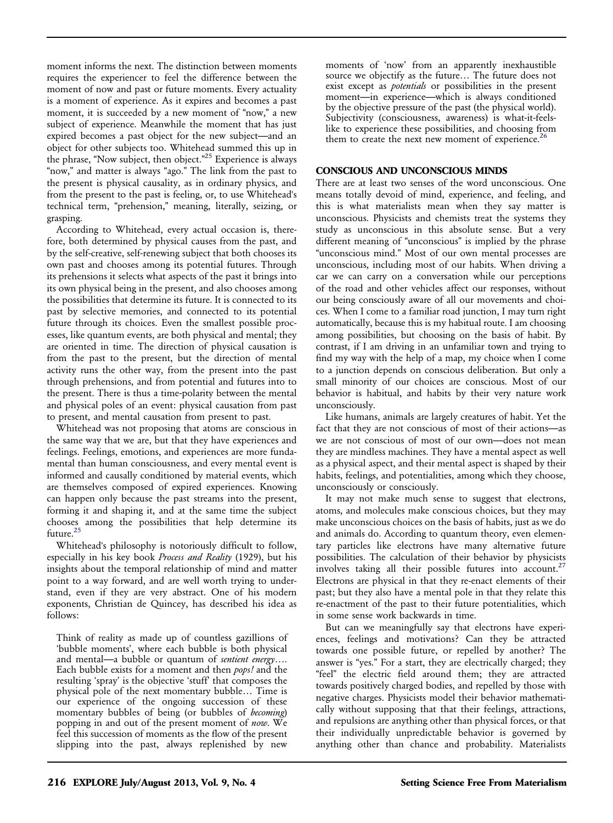moment informs the next. The distinction between moments requires the experiencer to feel the difference between the moment of now and past or future moments. Every actuality is a moment of experience. As it expires and becomes a past moment, it is succeeded by a new moment of "now," a new subject of experience. Meanwhile the moment that has just expired becomes a past object for the new subject—and an object for other subjects too. Whitehead summed this up in the phrase, "Now subject, then object." [25](#page-7-0) Experience is always "now," and matter is always "ago." The link from the past to the present is physical causality, as in ordinary physics, and from the present to the past is feeling, or, to use Whitehead's technical term, "prehension," meaning, literally, seizing, or grasping.

According to Whitehead, every actual occasion is, therefore, both determined by physical causes from the past, and by the self-creative, self-renewing subject that both chooses its own past and chooses among its potential futures. Through its prehensions it selects what aspects of the past it brings into its own physical being in the present, and also chooses among the possibilities that determine its future. It is connected to its past by selective memories, and connected to its potential future through its choices. Even the smallest possible processes, like quantum events, are both physical and mental; they are oriented in time. The direction of physical causation is from the past to the present, but the direction of mental activity runs the other way, from the present into the past through prehensions, and from potential and futures into to the present. There is thus a time-polarity between the mental and physical poles of an event: physical causation from past to present, and mental causation from present to past.

Whitehead was not proposing that atoms are conscious in the same way that we are, but that they have experiences and feelings. Feelings, emotions, and experiences are more fundamental than human consciousness, and every mental event is informed and causally conditioned by material events, which are themselves composed of expired experiences. Knowing can happen only because the past streams into the present, forming it and shaping it, and at the same time the subject chooses among the possibilities that help determine its future.<sup>[25](#page-7-0)</sup>

Whitehead's philosophy is notoriously difficult to follow, especially in his key book Process and Reality (1929), but his insights about the temporal relationship of mind and matter point to a way forward, and are well worth trying to understand, even if they are very abstract. One of his modern exponents, Christian de Quincey, has described his idea as follows:

Think of reality as made up of countless gazillions of 'bubble moments', where each bubble is both physical and mental—a bubble or quantum of sentient energy.... Each bubble exists for a moment and then *pops!* and the resulting 'spray' is the objective 'stuff' that composes the physical pole of the next momentary bubble… Time is our experience of the ongoing succession of these momentary bubbles of being (or bubbles of becoming) popping in and out of the present moment of *now*. We feel this succession of moments as the flow of the present slipping into the past, always replenished by new

moments of 'now' from an apparently inexhaustible source we objectify as the future… The future does not exist except as potentials or possibilities in the present moment—in experience—which is always conditioned by the objective pressure of the past (the physical world). Subjectivity (consciousness, awareness) is what-it-feelslike to experience these possibilities, and choosing from them to create the next new moment of experience.<sup>[26](#page-7-0)</sup>

### CONSCIOUS AND UNCONSCIOUS MINDS

There are at least two senses of the word unconscious. One means totally devoid of mind, experience, and feeling, and this is what materialists mean when they say matter is unconscious. Physicists and chemists treat the systems they study as unconscious in this absolute sense. But a very different meaning of "unconscious" is implied by the phrase "unconscious mind." Most of our own mental processes are unconscious, including most of our habits. When driving a car we can carry on a conversation while our perceptions of the road and other vehicles affect our responses, without our being consciously aware of all our movements and choices. When I come to a familiar road junction, I may turn right automatically, because this is my habitual route. I am choosing among possibilities, but choosing on the basis of habit. By contrast, if I am driving in an unfamiliar town and trying to find my way with the help of a map, my choice when I come to a junction depends on conscious deliberation. But only a small minority of our choices are conscious. Most of our behavior is habitual, and habits by their very nature work unconsciously.

Like humans, animals are largely creatures of habit. Yet the fact that they are not conscious of most of their actions—as we are not conscious of most of our own—does not mean they are mindless machines. They have a mental aspect as well as a physical aspect, and their mental aspect is shaped by their habits, feelings, and potentialities, among which they choose, unconsciously or consciously.

It may not make much sense to suggest that electrons, atoms, and molecules make conscious choices, but they may make unconscious choices on the basis of habits, just as we do and animals do. According to quantum theory, even elementary particles like electrons have many alternative future possibilities. The calculation of their behavior by physicists involves taking all their possible futures into account.<sup>[27](#page-7-0)</sup> Electrons are physical in that they re-enact elements of their past; but they also have a mental pole in that they relate this re-enactment of the past to their future potentialities, which in some sense work backwards in time.

But can we meaningfully say that electrons have experiences, feelings and motivations? Can they be attracted towards one possible future, or repelled by another? The answer is "yes." For a start, they are electrically charged; they "feel" the electric field around them; they are attracted towards positively charged bodies, and repelled by those with negative charges. Physicists model their behavior mathematically without supposing that that their feelings, attractions, and repulsions are anything other than physical forces, or that their individually unpredictable behavior is governed by anything other than chance and probability. Materialists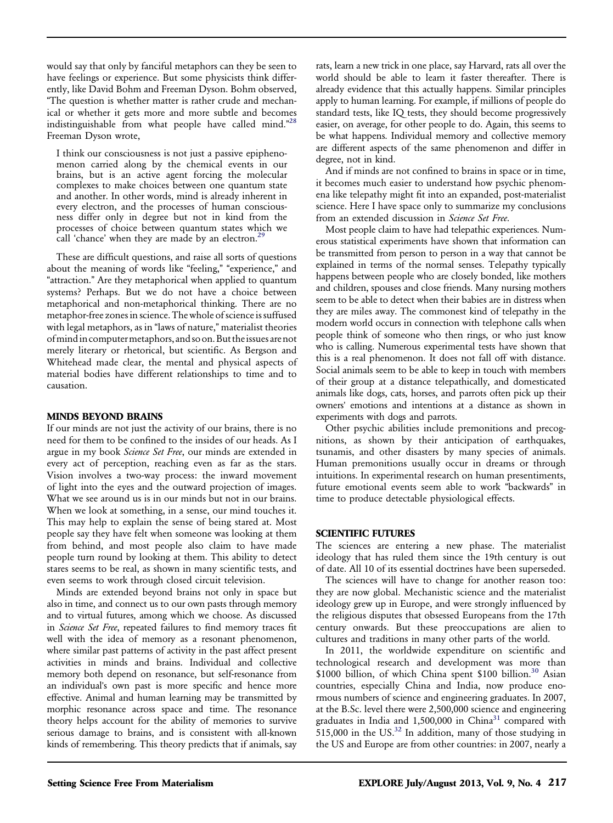would say that only by fanciful metaphors can they be seen to have feelings or experience. But some physicists think differently, like David Bohm and Freeman Dyson. Bohm observed, "The question is whether matter is rather crude and mechanical or whether it gets more and more subtle and becomes indistinguishable from what people have called mind."<sup>[28](#page-7-0)</sup> Freeman Dyson wrote,

I think our consciousness is not just a passive epiphenomenon carried along by the chemical events in our brains, but is an active agent forcing the molecular complexes to make choices between one quantum state and another. In other words, mind is already inherent in every electron, and the processes of human consciousness differ only in degree but not in kind from the processes of choice between quantum states which we call 'chance' when they are made by an electron.<sup>29</sup>

These are difficult questions, and raise all sorts of questions about the meaning of words like "feeling," "experience," and "attraction." Are they metaphorical when applied to quantum systems? Perhaps. But we do not have a choice between metaphorical and non-metaphorical thinking. There are no metaphor-free zones in science. The whole of science is suffused with legal metaphors, as in "laws of nature," materialist theories ofmindin computermetaphors, and so on.But theissues are not merely literary or rhetorical, but scientific. As Bergson and Whitehead made clear, the mental and physical aspects of material bodies have different relationships to time and to causation.

#### MINDS BEYOND BRAINS

If our minds are not just the activity of our brains, there is no need for them to be confined to the insides of our heads. As I argue in my book Science Set Free, our minds are extended in every act of perception, reaching even as far as the stars. Vision involves a two-way process: the inward movement of light into the eyes and the outward projection of images. What we see around us is in our minds but not in our brains. When we look at something, in a sense, our mind touches it. This may help to explain the sense of being stared at. Most people say they have felt when someone was looking at them from behind, and most people also claim to have made people turn round by looking at them. This ability to detect stares seems to be real, as shown in many scientific tests, and even seems to work through closed circuit television.

Minds are extended beyond brains not only in space but also in time, and connect us to our own pasts through memory and to virtual futures, among which we choose. As discussed in *Science Set Free*, repeated failures to find memory traces fit well with the idea of memory as a resonant phenomenon, where similar past patterns of activity in the past affect present activities in minds and brains. Individual and collective memory both depend on resonance, but self-resonance from an individual's own past is more specific and hence more effective. Animal and human learning may be transmitted by morphic resonance across space and time. The resonance theory helps account for the ability of memories to survive serious damage to brains, and is consistent with all-known kinds of remembering. This theory predicts that if animals, say

rats, learn a new trick in one place, say Harvard, rats all over the world should be able to learn it faster thereafter. There is already evidence that this actually happens. Similar principles apply to human learning. For example, if millions of people do standard tests, like IQ tests, they should become progressively easier, on average, for other people to do. Again, this seems to be what happens. Individual memory and collective memory are different aspects of the same phenomenon and differ in degree, not in kind.

And if minds are not confined to brains in space or in time, it becomes much easier to understand how psychic phenomena like telepathy might fit into an expanded, post-materialist science. Here I have space only to summarize my conclusions from an extended discussion in Science Set Free.

Most people claim to have had telepathic experiences. Numerous statistical experiments have shown that information can be transmitted from person to person in a way that cannot be explained in terms of the normal senses. Telepathy typically happens between people who are closely bonded, like mothers and children, spouses and close friends. Many nursing mothers seem to be able to detect when their babies are in distress when they are miles away. The commonest kind of telepathy in the modern world occurs in connection with telephone calls when people think of someone who then rings, or who just know who is calling. Numerous experimental tests have shown that this is a real phenomenon. It does not fall off with distance. Social animals seem to be able to keep in touch with members of their group at a distance telepathically, and domesticated animals like dogs, cats, horses, and parrots often pick up their owners' emotions and intentions at a distance as shown in experiments with dogs and parrots.

Other psychic abilities include premonitions and precognitions, as shown by their anticipation of earthquakes, tsunamis, and other disasters by many species of animals. Human premonitions usually occur in dreams or through intuitions. In experimental research on human presentiments, future emotional events seem able to work "backwards" in time to produce detectable physiological effects.

#### SCIENTIFIC FUTURES

The sciences are entering a new phase. The materialist ideology that has ruled them since the 19th century is out of date. All 10 of its essential doctrines have been superseded.

The sciences will have to change for another reason too: they are now global. Mechanistic science and the materialist ideology grew up in Europe, and were strongly influenced by the religious disputes that obsessed Europeans from the 17th century onwards. But these preoccupations are alien to cultures and traditions in many other parts of the world.

In 2011, the worldwide expenditure on scientific and technological research and development was more than \$1000 billion, of which China spent \$100 billion.<sup>[30](#page-7-0)</sup> Asian countries, especially China and India, now produce enormous numbers of science and engineering graduates. In 2007, at the B.Sc. level there were 2,500,000 science and engineering graduates in India and  $1,500,000$  in China<sup>[31](#page-7-0)</sup> compared with 515,000 in the US. $32$  In addition, many of those studying in the US and Europe are from other countries: in 2007, nearly a